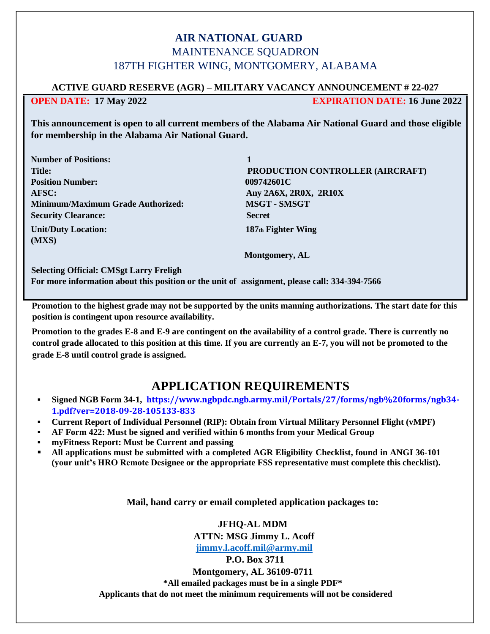## **AIR NATIONAL GUARD** MAINTENANCE SOUADRON 187TH FIGHTER WING, MONTGOMERY, ALABAMA

#### **ACTIVE GUARD RESERVE (AGR) – MILITARY VACANCY ANNOUNCEMENT # 22-027**

**OPEN DATE: 17 May 2022 EXPIRATION DATE: 16 June 2022** 

**This announcement is open to all current members of the Alabama Air National Guard and those eligible for membership in the Alabama Air National Guard.**

| <b>Number of Positions:</b>              |                                  |
|------------------------------------------|----------------------------------|
| <b>Title:</b>                            | PRODUCTION CONTROLLER (AIRCRAFT) |
| <b>Position Number:</b>                  | 009742601C                       |
| AFSC:                                    | Any 2A6X, 2R0X, 2R10X            |
| <b>Minimum/Maximum Grade Authorized:</b> | <b>MSGT - SMSGT</b>              |
| <b>Security Clearance:</b>               | <b>Secret</b>                    |
| <b>Unit/Duty Location:</b><br>(MXS)      | 187th Fighter Wing               |
|                                          | <b>Montgomery, AL</b>            |

**Selecting Official: CMSgt Larry Freligh**

**For more information about this position or the unit of assignment, please call: 334-394-7566**

**Promotion to the highest grade may not be supported by the units manning authorizations. The start date for this position is contingent upon resource availability.** 

**Promotion to the grades E-8 and E-9 are contingent on the availability of a control grade. There is currently no control grade allocated to this position at this time. If you are currently an E-7, you will not be promoted to the grade E-8 until control grade is assigned.** 

# **APPLICATION REQUIREMENTS**

- **Signed NGB Form 34-1, https://www.ngbpdc.ngb.army.mil/Portals/27/forms/ngb%20forms/ngb34- 1.pdf?ver=2018-09-28-105133-833**
- **Current Report of Individual Personnel (RIP): Obtain from Virtual Military Personnel Flight (vMPF)**
- **AF Form 422: Must be signed and verified within 6 months from your Medical Group**
- **myFitness Report: Must be Current and passing**
- **All applications must be submitted with a completed AGR Eligibility Checklist, found in ANGI 36-101 (your unit's HRO Remote Designee or the appropriate FSS representative must complete this checklist).**

**Mail, hand carry or email completed application packages to:** 

**JFHQ-AL MDM ATTN: MSG Jimmy L. Acoff**

**[jimmy.l.acoff.mil@army.mil](mailto:jimmy.l.acoff.mil@army.mil)**

**P.O. Box 3711** 

**Montgomery, AL 36109-0711 \*All emailed packages must be in a single PDF\* Applicants that do not meet the minimum requirements will not be considered**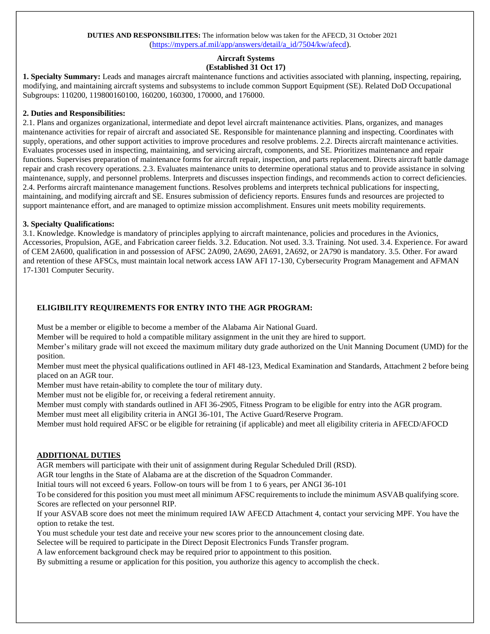#### **DUTIES AND RESPONSIBILITES:** The information below was taken for the AFECD, 31 October 2021 [\(h](https://mypers.af.mil/ci/fattach/get/9910080/1555961061/redirect/1/filename/AFECD%2030%20Apr%2019%20Finalv3.pdf)ttps://mypers.af.mil/app/answers/detail/a\_id/7504/kw/afecd).

#### **Aircraft Systems (Established 31 Oct 17)**

**1. Specialty Summary:** Leads and manages aircraft maintenance functions and activities associated with planning, inspecting, repairing, modifying, and maintaining aircraft systems and subsystems to include common Support Equipment (SE). Related DoD Occupational Subgroups: 110200, 119800160100, 160200, 160300, 170000, and 176000.

#### **2. Duties and Responsibilities:**

2.1. Plans and organizes organizational, intermediate and depot level aircraft maintenance activities. Plans, organizes, and manages maintenance activities for repair of aircraft and associated SE. Responsible for maintenance planning and inspecting. Coordinates with supply, operations, and other support activities to improve procedures and resolve problems. 2.2. Directs aircraft maintenance activities. Evaluates processes used in inspecting, maintaining, and servicing aircraft, components, and SE. Prioritizes maintenance and repair functions. Supervises preparation of maintenance forms for aircraft repair, inspection, and parts replacement. Directs aircraft battle damage repair and crash recovery operations. 2.3. Evaluates maintenance units to determine operational status and to provide assistance in solving maintenance, supply, and personnel problems. Interprets and discusses inspection findings, and recommends action to correct deficiencies. 2.4. Performs aircraft maintenance management functions. Resolves problems and interprets technical publications for inspecting, maintaining, and modifying aircraft and SE. Ensures submission of deficiency reports. Ensures funds and resources are projected to support maintenance effort, and are managed to optimize mission accomplishment. Ensures unit meets mobility requirements.

#### **3. Specialty Qualifications:**

3.1. Knowledge. Knowledge is mandatory of principles applying to aircraft maintenance, policies and procedures in the Avionics, Accessories, Propulsion, AGE, and Fabrication career fields. 3.2. Education. Not used. 3.3. Training. Not used. 3.4. Experience. For award of CEM 2A600, qualification in and possession of AFSC 2A090, 2A690, 2A691, 2A692, or 2A790 is mandatory. 3.5. Other. For award and retention of these AFSCs, must maintain local network access IAW AFI 17-130, Cybersecurity Program Management and AFMAN 17-1301 Computer Security.

#### **ELIGIBILITY REQUIREMENTS FOR ENTRY INTO THE AGR PROGRAM:**

Must be a member or eligible to become a member of the Alabama Air National Guard.

Member will be required to hold a compatible military assignment in the unit they are hired to support.

Member's military grade will not exceed the maximum military duty grade authorized on the Unit Manning Document (UMD) for the position.

Member must meet the physical qualifications outlined in AFI 48-123, Medical Examination and Standards, Attachment 2 before being placed on an AGR tour.

Member must have retain-ability to complete the tour of military duty.

Member must not be eligible for, or receiving a federal retirement annuity.

Member must comply with standards outlined in AFI 36-2905, Fitness Program to be eligible for entry into the AGR program.

Member must meet all eligibility criteria in ANGI 36-101, The Active Guard/Reserve Program.

Member must hold required AFSC or be eligible for retraining (if applicable) and meet all eligibility criteria in AFECD/AFOCD

#### **ADDITIONAL DUTIES**

AGR members will participate with their unit of assignment during Regular Scheduled Drill (RSD).

AGR tour lengths in the State of Alabama are at the discretion of the Squadron Commander.

Initial tours will not exceed 6 years. Follow-on tours will be from 1 to 6 years, per ANGI 36-101

To be considered for this position you must meet all minimum AFSC requirements to include the minimum ASVAB qualifying score. Scores are reflected on your personnel RIP.

If your ASVAB score does not meet the minimum required IAW AFECD Attachment 4, contact your servicing MPF. You have the option to retake the test.

You must schedule your test date and receive your new scores prior to the announcement closing date.

Selectee will be required to participate in the Direct Deposit Electronics Funds Transfer program.

A law enforcement background check may be required prior to appointment to this position.

By submitting a resume or application for this position, you authorize this agency to accomplish the check.